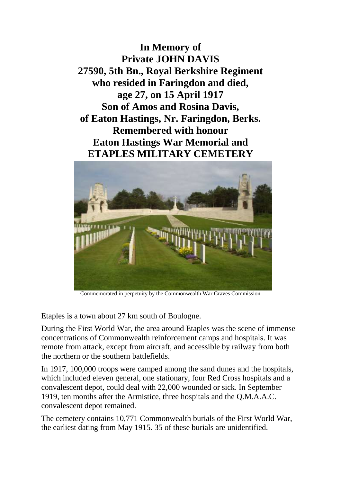**In Memory of Private JOHN DAVIS 27590, 5th Bn., Royal Berkshire Regiment who resided in Faringdon and died, age 27, on 15 April 1917 Son of Amos and Rosina Davis, of Eaton Hastings, Nr. Faringdon, Berks. Remembered with honour Eaton Hastings War Memorial and ETAPLES MILITARY CEMETERY**



Commemorated in perpetuity by the Commonwealth War Graves Commission

Etaples is a town about 27 km south of Boulogne.

During the First World War, the area around Etaples was the scene of immense concentrations of Commonwealth reinforcement camps and hospitals. It was remote from attack, except from aircraft, and accessible by railway from both the northern or the southern battlefields.

In 1917, 100,000 troops were camped among the sand dunes and the hospitals, which included eleven general, one stationary, four Red Cross hospitals and a convalescent depot, could deal with 22,000 wounded or sick. In September 1919, ten months after the Armistice, three hospitals and the Q.M.A.A.C. convalescent depot remained.

The cemetery contains 10,771 Commonwealth burials of the First World War, the earliest dating from May 1915. 35 of these burials are unidentified.